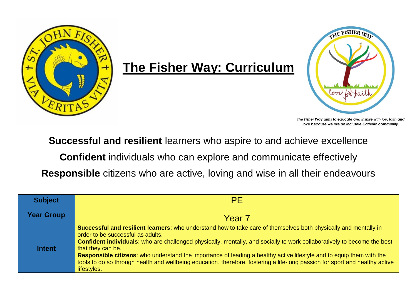

## **The Fisher Way: Curriculum**



The Fisher Way aims to educate and inspire with joy, faith and love because we are an inclusive Catholic community.

**Successful and resilient** learners who aspire to and achieve excellence

**Confident** individuals who can explore and communicate effectively

**Responsible** citizens who are active, loving and wise in all their endeavours

| <b>Subject</b>    | <b>PE</b>                                                                                                                                                                                                                                                                                                                                                                                                                                                                                                                                                                    |
|-------------------|------------------------------------------------------------------------------------------------------------------------------------------------------------------------------------------------------------------------------------------------------------------------------------------------------------------------------------------------------------------------------------------------------------------------------------------------------------------------------------------------------------------------------------------------------------------------------|
| <b>Year Group</b> | Year <sub>7</sub>                                                                                                                                                                                                                                                                                                                                                                                                                                                                                                                                                            |
| <b>Intent</b>     | Successful and resilient learners: who understand how to take care of themselves both physically and mentally in<br>order to be successful as adults.<br>Confident individuals: who are challenged physically, mentally, and socially to work collaboratively to become the best<br>that they can be.<br>Responsible citizens: who understand the importance of leading a healthy active lifestyle and to equip them with the<br>tools to do so through health and wellbeing education, therefore, fostering a life-long passion for sport and healthy active<br>lifestyles. |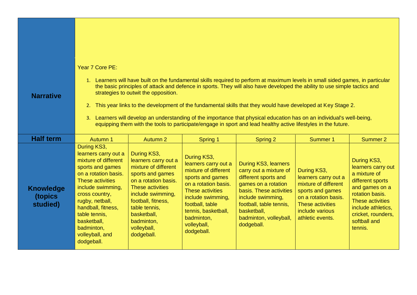## Year 7 Core PE:

**Narrative**

- 1. Learners will have built on the fundamental skills required to perform at maximum levels in small sided games, in particular the basic principles of attack and defence in sports. They will also have developed the ability to use simple tactics and strategies to outwit the opposition.
- 2. This year links to the development of the fundamental skills that they would have developed at Key Stage 2.
- 3. Learners will develop an understanding of the importance that physical education has on an individual's well-being, equipping them with the tools to participate/engage in sport and lead healthy active lifestyles in the future.

| <b>Half term</b>                        | <b>Autumn 1</b>                                                                                                                                                                                                                                                                            | <b>Autumn 2</b>                                                                                                                                                                                                                                   | Spring 1                                                                                                                                                                                                                              | Spring 2                                                                                                                                                                                                                        | <b>Summer 1</b>                                                                                                                                                    | <b>Summer 2</b>                                                                                                                                                                                       |
|-----------------------------------------|--------------------------------------------------------------------------------------------------------------------------------------------------------------------------------------------------------------------------------------------------------------------------------------------|---------------------------------------------------------------------------------------------------------------------------------------------------------------------------------------------------------------------------------------------------|---------------------------------------------------------------------------------------------------------------------------------------------------------------------------------------------------------------------------------------|---------------------------------------------------------------------------------------------------------------------------------------------------------------------------------------------------------------------------------|--------------------------------------------------------------------------------------------------------------------------------------------------------------------|-------------------------------------------------------------------------------------------------------------------------------------------------------------------------------------------------------|
| <b>Knowledge</b><br>(topics<br>studied) | During KS3,<br>learners carry out a<br>mixture of different<br>sports and games<br>on a rotation basis.<br>These activities<br>include swimming,<br>cross country,<br>rugby, netball,<br>handball, fitness,<br>table tennis,<br>basketball,<br>badminton,<br>volleyball, and<br>dodgeball. | During KS3,<br>learners carry out a<br>mixture of different<br>sports and games<br>on a rotation basis.<br>These activities<br>include swimming,<br>football, fitness,<br>table tennis,<br>basketball,<br>badminton,<br>volleyball,<br>dodgeball. | During KS3,<br>learners carry out a<br>mixture of different<br>sports and games<br>on a rotation basis.<br>These activities<br>include swimming,<br>football, table<br>tennis, basketball,<br>badminton,<br>volleyball,<br>dodgeball. | During KS3, learners<br>carry out a mixture of<br>different sports and<br>games on a rotation<br>basis. These activities<br>include swimming,<br>football, table tennis,<br>basketball,<br>badminton, volleyball,<br>dodgeball. | During KS3,<br>learners carry out a<br>mixture of different<br>sports and games<br>on a rotation basis.<br>These activities<br>include various<br>athletic events. | During KS3,<br>learners carry out<br>a mixture of<br>different sports<br>and games on a<br>rotation basis.<br>These activities<br>include athletics,<br>cricket, rounders,<br>softball and<br>tennis. |